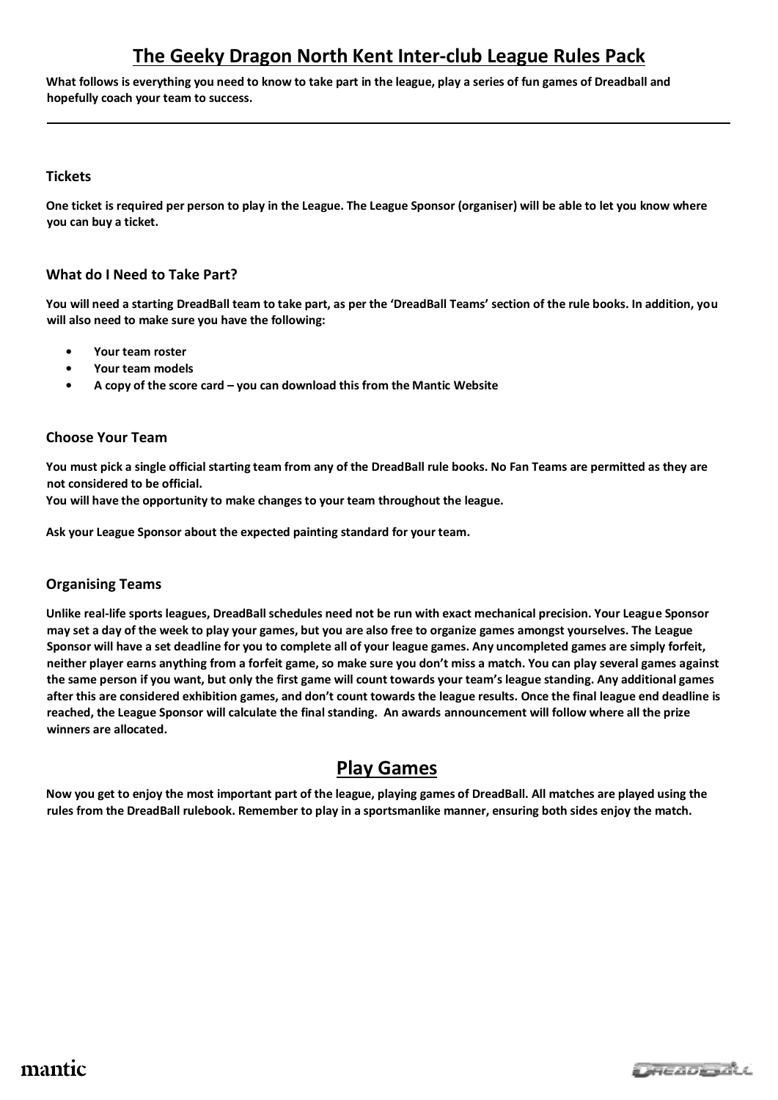# **The Geeky Dragon North Kent Inter-club League Rules Pack**

**What follows is everything you need to know to take part in the league, play a series of fun games of Dreadball and hopefully coach your team to success.**

#### **Tickets**

**One ticket is required per person to play in the League. The League Sponsor (organiser) will be able to let you know where you can buy a ticket.**

### **What do I Need to Take Part?**

**You will need a starting DreadBall team to take part, as per the 'DreadBall Teams' section of the rule books. In addition, you will also need to make sure you have the following:** 

- **• Your team roster**
- **• Your team models**
- **• A copy of the score card – you can download this from the Mantic Website**

### **Choose Your Team**

**You must pick a single official starting team from any of the DreadBall rule books. No Fan Teams are permitted as they are not considered to be official.** 

**You will have the opportunity to make changes to your team throughout the league.**

**Ask your League Sponsor about the expected painting standard for your team.**

### **Organising Teams**

**Unlike real-life sports leagues, DreadBall schedules need not be run with exact mechanical precision. Your League Sponsor may set a day of the week to play your games, but you are also free to organize games amongst yourselves. The League Sponsor will have a set deadline for you to complete all of your league games. Any uncompleted games are simply forfeit, neither player earns anything from a forfeit game, so make sure you don't miss a match. You can play several games against the same person if you want, but only the first game will count towards your team's league standing. Any additional games after this are considered exhibition games, and don't count towards the league results. Once the final league end deadline is reached, the League Sponsor will calculate the final standing. An awards announcement will follow where all the prize winners are allocated.**

## **Play Games**

**Now you get to enjoy the most important part of the league, playing games of DreadBall. All matches are played using the rules from the DreadBall rulebook. Remember to play in a sportsmanlike manner, ensuring both sides enjoy the match.**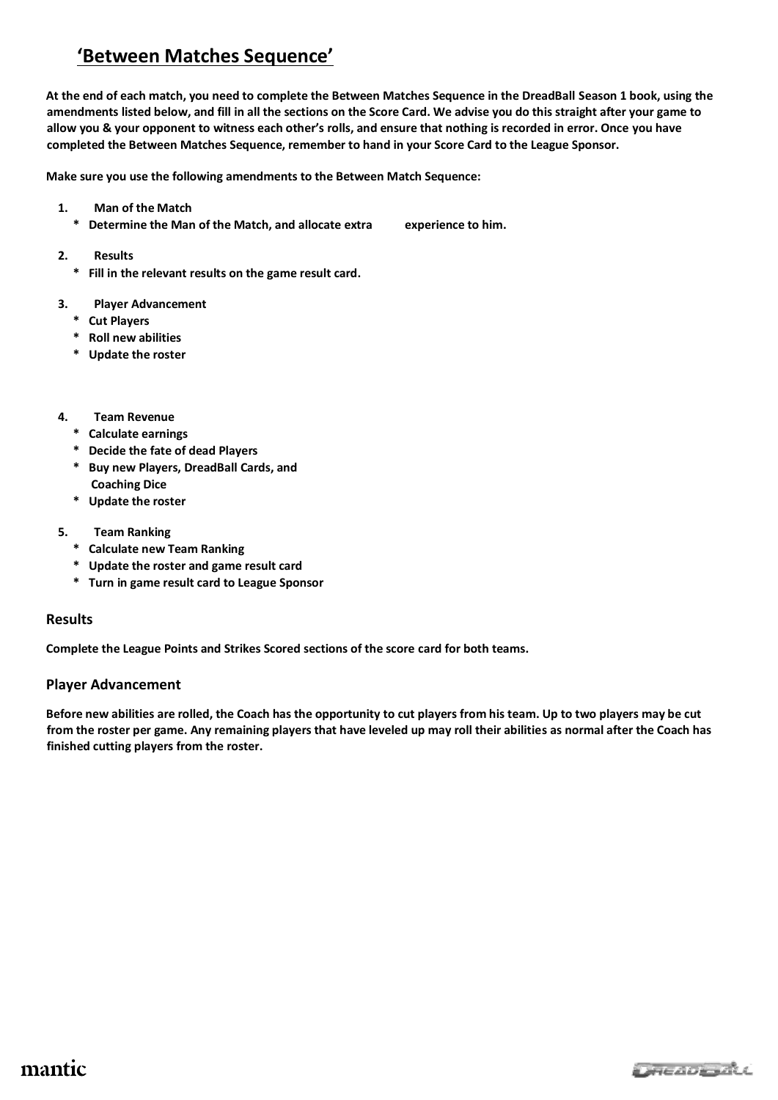# **'Between Matches Sequence'**

**At the end of each match, you need to complete the Between Matches Sequence in the DreadBall Season 1 book, using the amendments listed below, and fill in all the sections on the Score Card. We advise you do this straight after your game to allow you & your opponent to witness each other's rolls, and ensure that nothing is recorded in error. Once you have completed the Between Matches Sequence, remember to hand in your Score Card to the League Sponsor.**

**Make sure you use the following amendments to the Between Match Sequence:** 

- **1. Man of the Match** 
	- **\* Determine the Man of the Match, and allocate extra experience to him.**
- **2. Results** 
	- **\* Fill in the relevant results on the game result card.**

#### **3. Player Advancement**

- **\* Cut Players**
- **\* Roll new abilities**
- **\* Update the roster**
- **4. Team Revenue** 
	- **\* Calculate earnings**
	- **\* Decide the fate of dead Players**
	- **\* Buy new Players, DreadBall Cards, and Coaching Dice**
	- **\* Update the roster**
- **5. Team Ranking** 
	- **\* Calculate new Team Ranking**
	- **\* Update the roster and game result card**
	- **\* Turn in game result card to League Sponsor**

#### **Results**

**Complete the League Points and Strikes Scored sections of the score card for both teams.**

#### **Player Advancement**

**Before new abilities are rolled, the Coach has the opportunity to cut players from his team. Up to two players may be cut from the roster per game. Any remaining players that have leveled up may roll their abilities as normal after the Coach has finished cutting players from the roster.**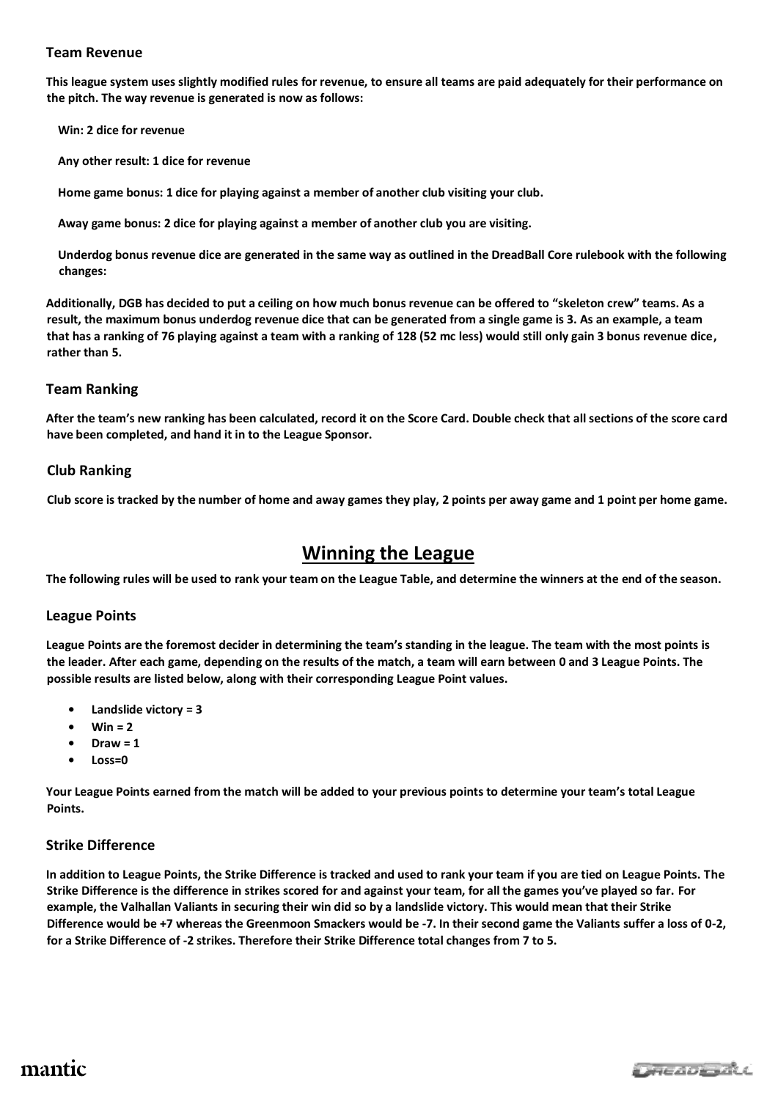#### **Team Revenue**

**This league system uses slightly modified rules for revenue, to ensure all teams are paid adequately for their performance on the pitch. The way revenue is generated is now as follows:** 

**Win: 2 dice for revenue**

**Any other result: 1 dice for revenue** 

**Home game bonus: 1 dice for playing against a member of another club visiting your club.**

**Away game bonus: 2 dice for playing against a member of another club you are visiting.** 

**Underdog bonus revenue dice are generated in the same way as outlined in the DreadBall Core rulebook with the following changes:**

**Additionally, DGB has decided to put a ceiling on how much bonus revenue can be offered to "skeleton crew" teams. As a result, the maximum bonus underdog revenue dice that can be generated from a single game is 3. As an example, a team that has a ranking of 76 playing against a team with a ranking of 128 (52 mc less) would still only gain 3 bonus revenue dice, rather than 5.** 

#### **Team Ranking**

**After the team's new ranking has been calculated, record it on the Score Card. Double check that all sections of the score card have been completed, and hand it in to the League Sponsor.**

#### **Club Ranking**

**Club score is tracked by the number of home and away games they play, 2 points per away game and 1 point per home game.**

### **Winning the League**

**The following rules will be used to rank your team on the League Table, and determine the winners at the end of the season.**

#### **League Points**

**League Points are the foremost decider in determining the team's standing in the league. The team with the most points is the leader. After each game, depending on the results of the match, a team will earn between 0 and 3 League Points. The possible results are listed below, along with their corresponding League Point values.** 

- **• Landslide victory = 3**
- $Win = 2$
- **• Draw = 1**
- **• Loss=0**

**Your League Points earned from the match will be added to your previous points to determine your team's total League Points.** 

#### **Strike Difference**

**In addition to League Points, the Strike Difference is tracked and used to rank your team if you are tied on League Points. The Strike Difference is the difference in strikes scored for and against your team, for all the games you've played so far. For example, the Valhallan Valiants in securing their win did so by a landslide victory. This would mean that their Strike Difference would be +7 whereas the Greenmoon Smackers would be -7. In their second game the Valiants suffer a loss of 0-2, for a Strike Difference of -2 strikes. Therefore their Strike Difference total changes from 7 to 5.** 

## mantic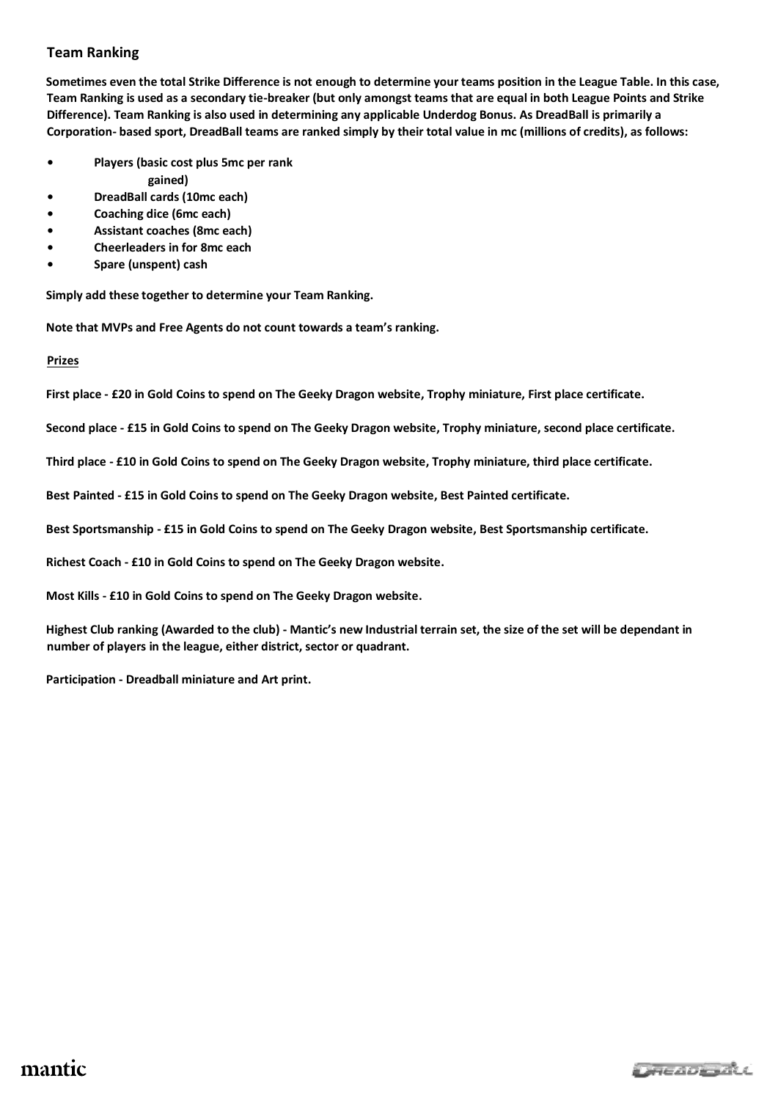### **Team Ranking**

**Sometimes even the total Strike Difference is not enough to determine your teams position in the League Table. In this case, Team Ranking is used as a secondary tie-breaker (but only amongst teams that are equal in both League Points and Strike Difference). Team Ranking is also used in determining any applicable Underdog Bonus. As DreadBall is primarily a Corporation- based sport, DreadBall teams are ranked simply by their total value in mc (millions of credits), as follows:**

- **• Players (basic cost plus 5mc per rank** 
	- **gained)**
- **• DreadBall cards (10mc each)**
- **• Coaching dice (6mc each)**
- **• Assistant coaches (8mc each)**
- **• Cheerleaders in for 8mc each**
- **• Spare (unspent) cash**

**Simply add these together to determine your Team Ranking.** 

**Note that MVPs and Free Agents do not count towards a team's ranking.**

**Prizes**

**First place - £20 in Gold Coins to spend on The Geeky Dragon website, Trophy miniature, First place certificate.**

**Second place - £15 in Gold Coins to spend on The Geeky Dragon website, Trophy miniature, second place certificate.**

**Third place - £10 in Gold Coins to spend on The Geeky Dragon website, Trophy miniature, third place certificate.**

**Best Painted - £15 in Gold Coins to spend on The Geeky Dragon website, Best Painted certificate.**

**Best Sportsmanship - £15 in Gold Coins to spend on The Geeky Dragon website, Best Sportsmanship certificate.**

**Richest Coach - £10 in Gold Coins to spend on The Geeky Dragon website.**

**Most Kills - £10 in Gold Coins to spend on The Geeky Dragon website.**

**Highest Club ranking (Awarded to the club) - Mantic's new Industrial terrain set, the size of the set will be dependant in number of players in the league, either district, sector or quadrant.**

**Participation - Dreadball miniature and Art print.**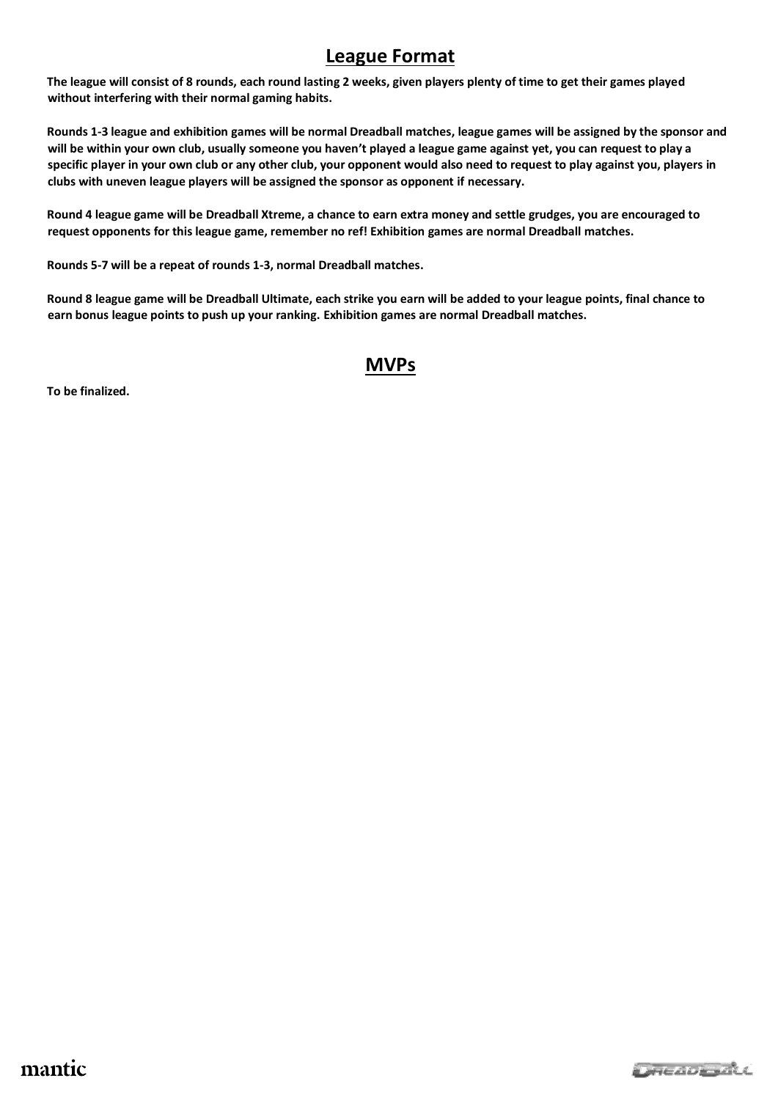## **League Format**

**The league will consist of 8 rounds, each round lasting 2 weeks, given players plenty of time to get their games played without interfering with their normal gaming habits.**

**Rounds 1-3 league and exhibition games will be normal Dreadball matches, league games will be assigned by the sponsor and will be within your own club, usually someone you haven't played a league game against yet, you can request to play a specific player in your own club or any other club, your opponent would also need to request to play against you, players in clubs with uneven league players will be assigned the sponsor as opponent if necessary.**

**Round 4 league game will be Dreadball Xtreme, a chance to earn extra money and settle grudges, you are encouraged to request opponents for this league game, remember no ref! Exhibition games are normal Dreadball matches.**

**Rounds 5-7 will be a repeat of rounds 1-3, normal Dreadball matches.**

**Round 8 league game will be Dreadball Ultimate, each strike you earn will be added to your league points, final chance to earn bonus league points to push up your ranking. Exhibition games are normal Dreadball matches.**

## **MVPs**

**To be finalized.**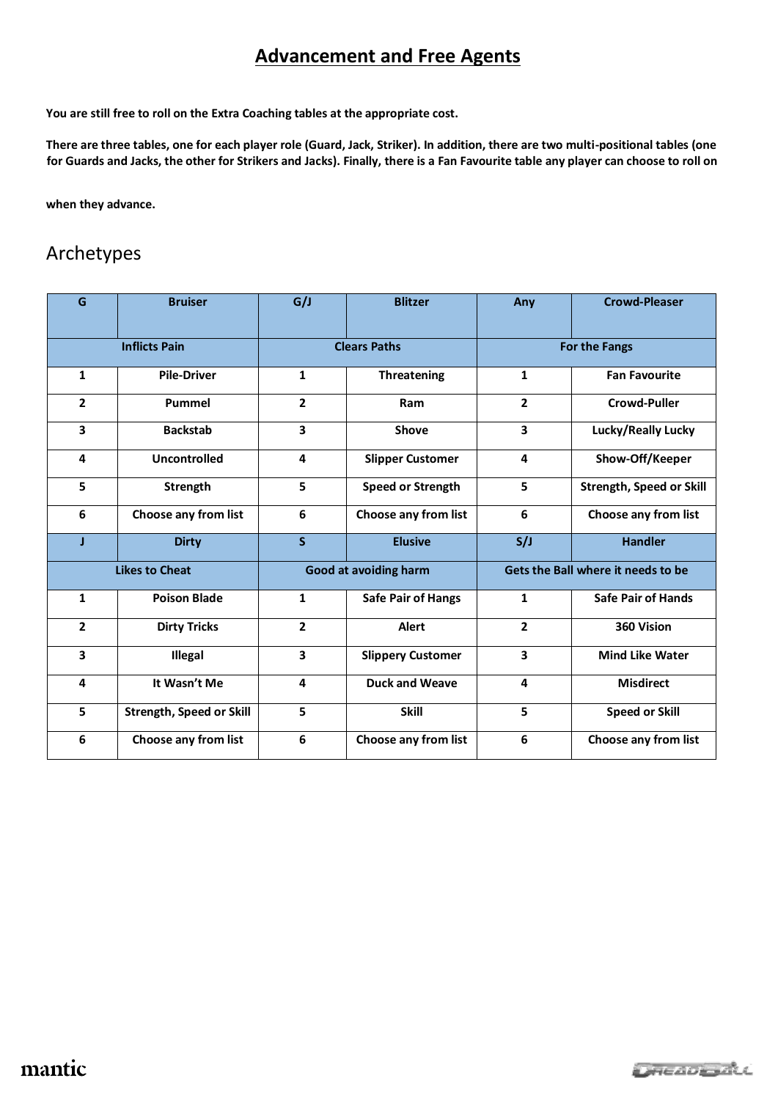# **Advancement and Free Agents**

**You are still free to roll on the Extra Coaching tables at the appropriate cost.** 

**There are three tables, one for each player role (Guard, Jack, Striker). In addition, there are two multi-positional tables (one for Guards and Jacks, the other for Strikers and Jacks). Finally, there is a Fan Favourite table any player can choose to roll on** 

**when they advance.**

# Archetypes

| G                     | <b>Bruiser</b>                  | G/J                   | <b>Blitzer</b>            | Any                                | <b>Crowd-Pleaser</b>            |
|-----------------------|---------------------------------|-----------------------|---------------------------|------------------------------------|---------------------------------|
| <b>Inflicts Pain</b>  |                                 | <b>Clears Paths</b>   |                           | For the Fangs                      |                                 |
| $\mathbf{1}$          | <b>Pile-Driver</b>              | $\mathbf{1}$          | Threatening               | $\mathbf{1}$                       | <b>Fan Favourite</b>            |
| $\overline{2}$        | Pummel                          | $\overline{2}$        | Ram                       | $\overline{2}$                     | <b>Crowd-Puller</b>             |
| 3                     | <b>Backstab</b>                 | 3                     | <b>Shove</b>              | 3                                  | Lucky/Really Lucky              |
| 4                     | Uncontrolled                    | 4                     | <b>Slipper Customer</b>   | 4                                  | Show-Off/Keeper                 |
| 5                     | <b>Strength</b>                 | 5                     | <b>Speed or Strength</b>  | 5                                  | <b>Strength, Speed or Skill</b> |
| 6                     | <b>Choose any from list</b>     | 6                     | Choose any from list      | 6                                  | Choose any from list            |
| J                     | <b>Dirty</b>                    | $\mathsf{s}$          | <b>Elusive</b>            | S/J                                | <b>Handler</b>                  |
| <b>Likes to Cheat</b> |                                 | Good at avoiding harm |                           | Gets the Ball where it needs to be |                                 |
| $\mathbf{1}$          | <b>Poison Blade</b>             | $\mathbf{1}$          | <b>Safe Pair of Hangs</b> | $\mathbf{1}$                       | <b>Safe Pair of Hands</b>       |
| $\overline{2}$        | <b>Dirty Tricks</b>             | $\overline{2}$        | <b>Alert</b>              | $\overline{2}$                     | 360 Vision                      |
| 3                     | <b>Illegal</b>                  | 3                     | <b>Slippery Customer</b>  | 3                                  | <b>Mind Like Water</b>          |
| 4                     | It Wasn't Me                    | 4                     | <b>Duck and Weave</b>     | 4                                  | <b>Misdirect</b>                |
| 5                     | <b>Strength, Speed or Skill</b> | 5                     | <b>Skill</b>              | 5                                  | <b>Speed or Skill</b>           |
| 6                     | Choose any from list            | 6                     | Choose any from list      | 6                                  | Choose any from list            |

mantic